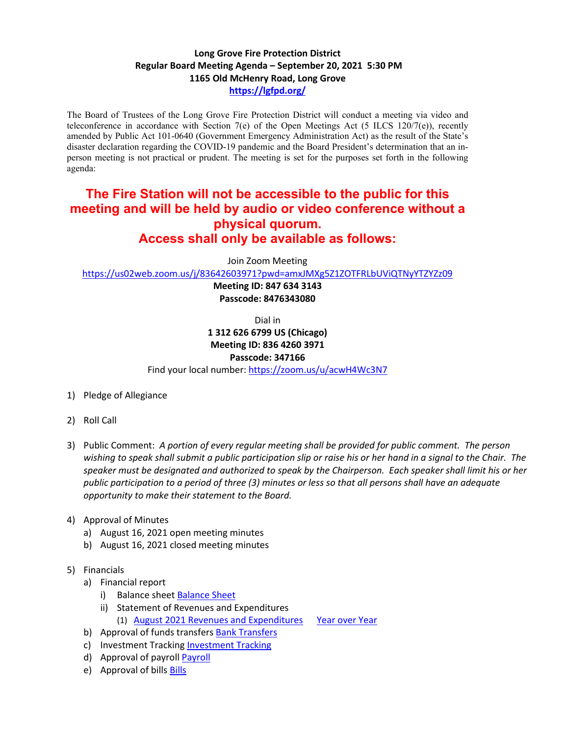## **Long Grove Fire Protection District Regular Board Meeting Agenda – September 20, 2021 5:30 PM 1165 Old McHenry Road, Long Grove <https://lgfpd.org/>**

The Board of Trustees of the Long Grove Fire Protection District will conduct a meeting via video and teleconference in accordance with Section 7(e) of the Open Meetings Act (5 ILCS 120/7(e)), recently amended by Public Act 101-0640 (Government Emergency Administration Act) as the result of the State's disaster declaration regarding the COVID-19 pandemic and the Board President's determination that an inperson meeting is not practical or prudent. The meeting is set for the purposes set forth in the following agenda:

## **The Fire Station will not be accessible to the public for this meeting and will be held by audio or video conference without a physical quorum. Access shall only be available as follows:**

Join Zoom Meeting

<https://us02web.zoom.us/j/83642603971?pwd=amxJMXg5Z1ZOTFRLbUViQTNyYTZYZz09>

**Meeting ID: 847 634 3143 Passcode: 8476343080**

Dial in

**1 312 626 6799 US (Chicago) Meeting ID: 836 4260 3971**

## **Passcode: 347166**

Find your local number[: https://zoom.us/u/acwH4Wc3N7](https://zoom.us/u/acwH4Wc3N7)

- 1) Pledge of Allegiance
- 2) Roll Call
- 3) Public Comment: *A portion of every regular meeting shall be provided for public comment. The person wishing to speak shall submit a public participation slip or raise his or her hand in a signal to the Chair. The speaker must be designated and authorized to speak by the Chairperson. Each speaker shall limit his or her public participation to a period of three (3) minutes or less so that all persons shall have an adequate opportunity to make their statement to the Board.*
- 4) Approval of Minutes
	- a) August 16, 2021 open meeting minutes
	- b) August 16, 2021 closed meeting minutes
- 5) Financials
	- a) Financial report
		- i) Balance sheet [Balance Sheet](https://itgophers.sharepoint.com/:b:/s/SharedDocs/EeJD1NyRCr5AvAuGQa7MfsIBCj8zkpbxhmRLmlyfirw-iw?e=Dv68CX)
		- ii) Statement of Revenues and Expenditures
			- (1) [August 2021 Revenues and Expenditures](https://itgophers.sharepoint.com/:b:/s/SharedDocs/EdvQa7iwjQxBklrcN1Bmj3sBymF7GiiOj5Yb0P4VfuTWVA?e=zQM2Q9) [Year over Year](https://itgophers.sharepoint.com/:b:/s/SharedDocs/EWAH_Rlk_FxKjUVrDtOURRoBpz1twXh3dV-FffSk0trclA?e=gZarVy)
	- b) Approval of funds transfers Bank Transfers
	- c) Investment Tracking [Investment Tracking](https://itgophers.sharepoint.com/:b:/s/SharedDocs/EeXPOjwvW8dEvuLgR9qn3tsBa9S74ZBvJp5kMAi_aDIQZQ?e=NEn4ef)
	- d) Approval of payrol[l Payroll](https://itgophers.sharepoint.com/:b:/s/SharedDocs/Eb18g5OIO7tHhuC2WHANROoBSM7MOBBgsV9ZwB3AejgP-w?e=ENvLvd)
	- e) Approval of bills **Bills**